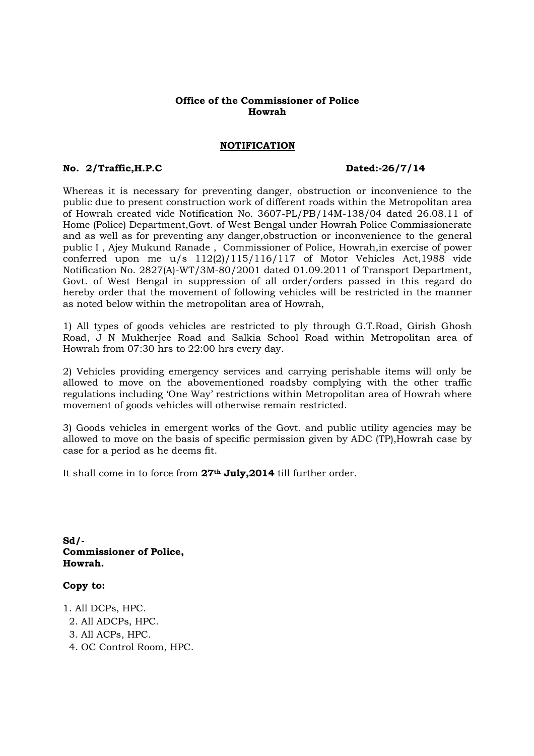# **Office of the Commissioner of Police Howrah**

### **NOTIFICATION**

### **No. 2/Traffic,H.P.C Dated:-26/7/14**

Whereas it is necessary for preventing danger, obstruction or inconvenience to the public due to present construction work of different roads within the Metropolitan area of Howrah created vide Notification No. 3607-PL/PB/14M-138/04 dated 26.08.11 of Home (Police) Department,Govt. of West Bengal under Howrah Police Commissionerate and as well as for preventing any danger,obstruction or inconvenience to the general public I , Ajey Mukund Ranade , Commissioner of Police, Howrah,in exercise of power conferred upon me u/s 112(2)/115/116/117 of Motor Vehicles Act,1988 vide Notification No. 2827(A)-WT/3M-80/2001 dated 01.09.2011 of Transport Department, Govt. of West Bengal in suppression of all order/orders passed in this regard do hereby order that the movement of following vehicles will be restricted in the manner as noted below within the metropolitan area of Howrah,

1) All types of goods vehicles are restricted to ply through G.T.Road, Girish Ghosh Road, J N Mukherjee Road and Salkia School Road within Metropolitan area of Howrah from 07:30 hrs to 22:00 hrs every day.

2) Vehicles providing emergency services and carrying perishable items will only be allowed to move on the abovementioned roadsby complying with the other traffic regulations including 'One Way' restrictions within Metropolitan area of Howrah where movement of goods vehicles will otherwise remain restricted.

3) Goods vehicles in emergent works of the Govt. and public utility agencies may be allowed to move on the basis of specific permission given by ADC (TP),Howrah case by case for a period as he deems fit.

It shall come in to force from **27th July,2014** till further order.

**Sd/- Commissioner of Police, Howrah.** 

## **Copy to:**

- 1. All DCPs, HPC.
- 2. All ADCPs, HPC.
- 3. All ACPs, HPC.
- 4. OC Control Room, HPC.